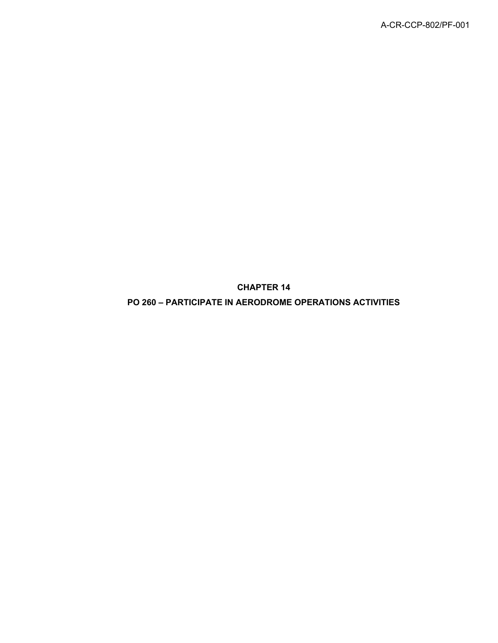CHAPTER 14

PO 260 – PARTICIPATE IN AERODROME OPERATIONS ACTIVITIES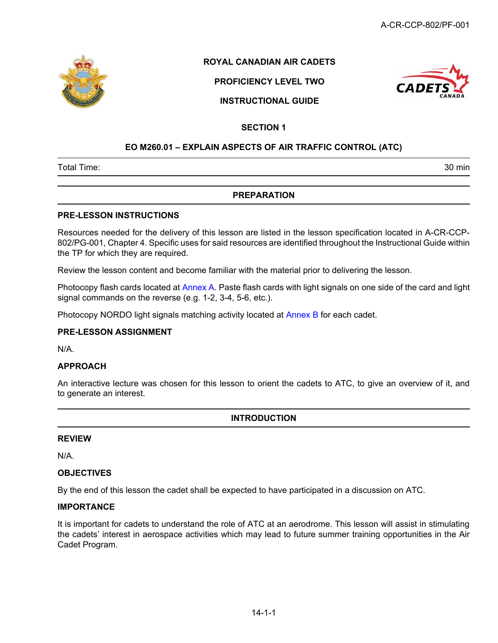

### ROYAL CANADIAN AIR CADETS

PROFICIENCY LEVEL TWO



INSTRUCTIONAL GUIDE

### SECTION 1

### EO M260.01 – EXPLAIN ASPECTS OF AIR TRAFFIC CONTROL (ATC)

Total Time: 30 min

### PREPARATION

### PRE-LESSON INSTRUCTIONS

Resources needed for the delivery of this lesson are listed in the lesson specification located in A-CR-CCP-802/PG-001, Chapter 4. Specific uses for said resources are identified throughout the Instructional Guide within the TP for which they are required.

Review the lesson content and become familiar with the material prior to delivering the lesson.

Photocopy flash cards located at Annex A. Paste flash cards with light signals on one side of the card and light signal commands on the reverse (e.g. 1-2, 3-4, 5-6, etc.).

Photocopy NORDO light signals matching activity located at Annex B for each cadet.

### PRE-LESSON ASSIGNMENT

N/A.

### APPROACH

An interactive lecture was chosen for this lesson to orient the cadets to ATC, to give an overview of it, and to generate an interest.

### INTRODUCTION

### REVIEW

N/A.

### **OBJECTIVES**

By the end of this lesson the cadet shall be expected to have participated in a discussion on ATC.

### IMPORTANCE

It is important for cadets to understand the role of ATC at an aerodrome. This lesson will assist in stimulating the cadets' interest in aerospace activities which may lead to future summer training opportunities in the Air Cadet Program.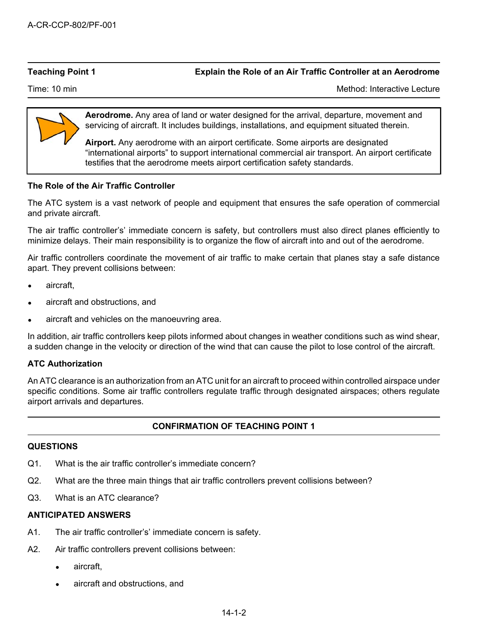### Teaching Point 1 Explain the Role of an Air Traffic Controller at an Aerodrome

Time: 10 min Method: Interactive Lecture Communication of the Method: Interactive Lecture

Aerodrome. Any area of land or water designed for the arrival, departure, movement and servicing of aircraft. It includes buildings, installations, and equipment situated therein.

Airport. Any aerodrome with an airport certificate. Some airports are designated "international airports" to support international commercial air transport. An airport certificate testifies that the aerodrome meets airport certification safety standards.

### The Role of the Air Traffic Controller

The ATC system is a vast network of people and equipment that ensures the safe operation of commercial and private aircraft.

The air traffic controller's' immediate concern is safety, but controllers must also direct planes efficiently to minimize delays. Their main responsibility is to organize the flow of aircraft into and out of the aerodrome.

Air traffic controllers coordinate the movement of air traffic to make certain that planes stay a safe distance apart. They prevent collisions between:

- aircraft,
- aircraft and obstructions, and
- aircraft and vehicles on the manoeuvring area.

In addition, air traffic controllers keep pilots informed about changes in weather conditions such as wind shear, a sudden change in the velocity or direction of the wind that can cause the pilot to lose control of the aircraft.

### ATC Authorization

An ATC clearance is an authorization from an ATC unit for an aircraft to proceed within controlled airspace under specific conditions. Some air traffic controllers regulate traffic through designated airspaces; others regulate airport arrivals and departures.

### CONFIRMATION OF TEACHING POINT 1

### **QUESTIONS**

- Q1. What is the air traffic controller's immediate concern?
- Q2. What are the three main things that air traffic controllers prevent collisions between?
- Q3. What is an ATC clearance?

### ANTICIPATED ANSWERS

- A1. The air traffic controller's' immediate concern is safety.
- A2. Air traffic controllers prevent collisions between:
	- aircraft,  $\bullet$
	- aircraft and obstructions, and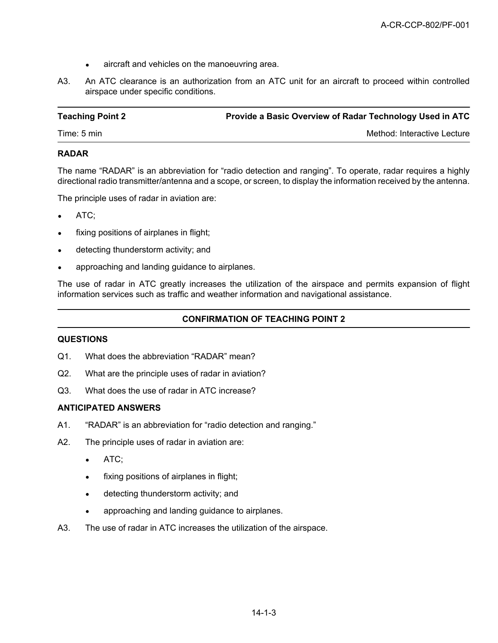- aircraft and vehicles on the manoeuvring area.  $\bullet$
- A3. An ATC clearance is an authorization from an ATC unit for an aircraft to proceed within controlled airspace under specific conditions.

| <b>Teaching Point 2</b> | Provide a Basic Overview of Radar Technology Used in ATC |
|-------------------------|----------------------------------------------------------|
| Time: 5 min             | Method: Interactive Lecture                              |
|                         |                                                          |

### RADAR

The name "RADAR" is an abbreviation for "radio detection and ranging". To operate, radar requires a highly directional radio transmitter/antenna and a scope, or screen, to display the information received by the antenna.

The principle uses of radar in aviation are:

- ATC;
- fixing positions of airplanes in flight;
- detecting thunderstorm activity; and
- approaching and landing guidance to airplanes.

The use of radar in ATC greatly increases the utilization of the airspace and permits expansion of flight information services such as traffic and weather information and navigational assistance.

### CONFIRMATION OF TEACHING POINT 2

### **QUESTIONS**

- Q1. What does the abbreviation "RADAR" mean?
- Q2. What are the principle uses of radar in aviation?
- Q3. What does the use of radar in ATC increase?

### ANTICIPATED ANSWERS

- A1. "RADAR" is an abbreviation for "radio detection and ranging."
- A2. The principle uses of radar in aviation are:
	- ATC;  $\bullet$
	- fixing positions of airplanes in flight;  $\bullet$
	- detecting thunderstorm activity; and  $\bullet$
	- approaching and landing guidance to airplanes.  $\bullet$
- A3. The use of radar in ATC increases the utilization of the airspace.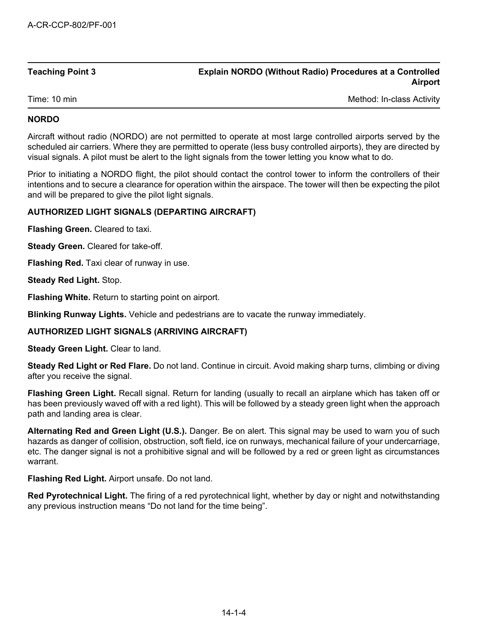### Teaching Point 3 Explain NORDO (Without Radio) Procedures at a Controlled Airport

Time: 10 min Method: In-class Activity

### NORDO

Aircraft without radio (NORDO) are not permitted to operate at most large controlled airports served by the scheduled air carriers. Where they are permitted to operate (less busy controlled airports), they are directed by visual signals. A pilot must be alert to the light signals from the tower letting you know what to do.

Prior to initiating a NORDO flight, the pilot should contact the control tower to inform the controllers of their intentions and to secure a clearance for operation within the airspace. The tower will then be expecting the pilot and will be prepared to give the pilot light signals.

### AUTHORIZED LIGHT SIGNALS (DEPARTING AIRCRAFT)

Flashing Green. Cleared to taxi.

Steady Green. Cleared for take-off.

Flashing Red. Taxi clear of runway in use.

Steady Red Light. Stop.

Flashing White. Return to starting point on airport.

Blinking Runway Lights. Vehicle and pedestrians are to vacate the runway immediately.

### AUTHORIZED LIGHT SIGNALS (ARRIVING AIRCRAFT)

Steady Green Light. Clear to land.

Steady Red Light or Red Flare. Do not land. Continue in circuit. Avoid making sharp turns, climbing or diving after you receive the signal.

Flashing Green Light. Recall signal. Return for landing (usually to recall an airplane which has taken off or has been previously waved off with a red light). This will be followed by a steady green light when the approach path and landing area is clear.

Alternating Red and Green Light (U.S.). Danger. Be on alert. This signal may be used to warn you of such hazards as danger of collision, obstruction, soft field, ice on runways, mechanical failure of your undercarriage, etc. The danger signal is not a prohibitive signal and will be followed by a red or green light as circumstances warrant.

Flashing Red Light. Airport unsafe. Do not land.

Red Pyrotechnical Light. The firing of a red pyrotechnical light, whether by day or night and notwithstanding any previous instruction means "Do not land for the time being".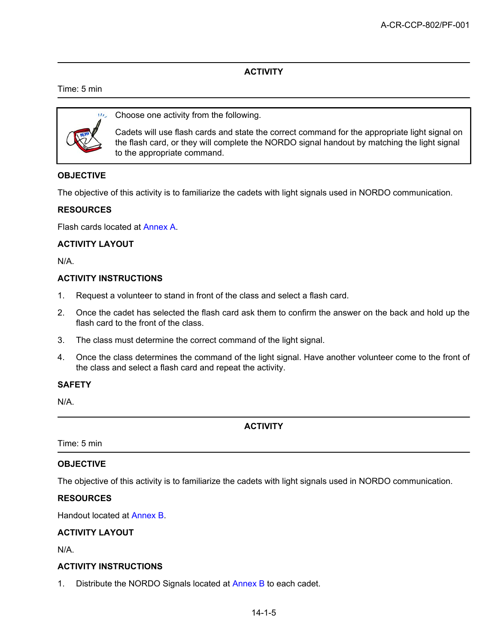### **ACTIVITY**

Time: 5 min



Choose one activity from the following.

Cadets will use flash cards and state the correct command for the appropriate light signal on the flash card, or they will complete the NORDO signal handout by matching the light signal to the appropriate command.

### **OBJECTIVE**

The objective of this activity is to familiarize the cadets with light signals used in NORDO communication.

### RESOURCES

Flash cards located at Annex A.

### ACTIVITY LAYOUT

N/A.

### ACTIVITY INSTRUCTIONS

- 1. Request a volunteer to stand in front of the class and select a flash card.
- 2. Once the cadet has selected the flash card ask them to confirm the answer on the back and hold up the flash card to the front of the class.
- 3. The class must determine the correct command of the light signal.
- 4. Once the class determines the command of the light signal. Have another volunteer come to the front of the class and select a flash card and repeat the activity.

### **SAFETY**

N/A.

### **ACTIVITY**

Time: 5 min

### **OBJECTIVE**

The objective of this activity is to familiarize the cadets with light signals used in NORDO communication.

### **RESOURCES**

Handout located at Annex B.

### ACTIVITY LAYOUT

N/A.

### ACTIVITY INSTRUCTIONS

1. Distribute the NORDO Signals located at Annex B to each cadet.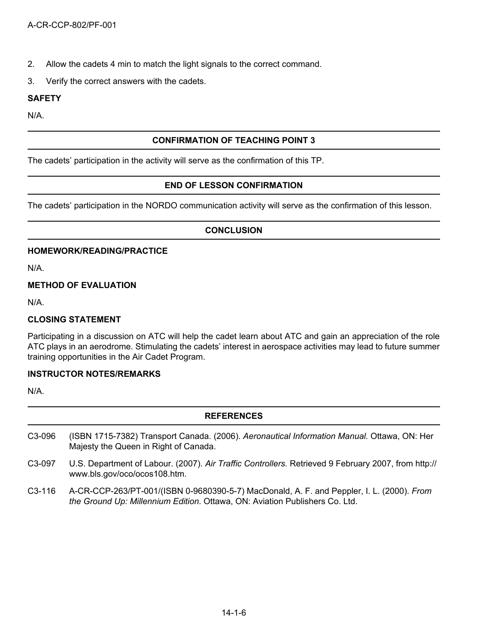- 2. Allow the cadets 4 min to match the light signals to the correct command.
- 3. Verify the correct answers with the cadets.

### **SAFETY**

N/A.

### CONFIRMATION OF TEACHING POINT 3

The cadets' participation in the activity will serve as the confirmation of this TP.

### END OF LESSON CONFIRMATION

The cadets' participation in the NORDO communication activity will serve as the confirmation of this lesson.

### **CONCLUSION**

### HOMEWORK/READING/PRACTICE

N/A.

### METHOD OF EVALUATION

N/A.

### CLOSING STATEMENT

Participating in a discussion on ATC will help the cadet learn about ATC and gain an appreciation of the role ATC plays in an aerodrome. Stimulating the cadets' interest in aerospace activities may lead to future summer training opportunities in the Air Cadet Program.

### INSTRUCTOR NOTES/REMARKS

N/A.

### **REFERENCES**

- C3-096 (ISBN 1715-7382) Transport Canada. (2006). Aeronautical Information Manual. Ottawa, ON: Her Majesty the Queen in Right of Canada.
- C3-097 U.S. Department of Labour. (2007). Air Traffic Controllers. Retrieved 9 February 2007, from http:// www.bls.gov/oco/ocos108.htm.
- C3-116 A-CR-CCP-263/PT-001/(ISBN 0-9680390-5-7) MacDonald, A. F. and Peppler, I. L. (2000). From the Ground Up: Millennium Edition. Ottawa, ON: Aviation Publishers Co. Ltd.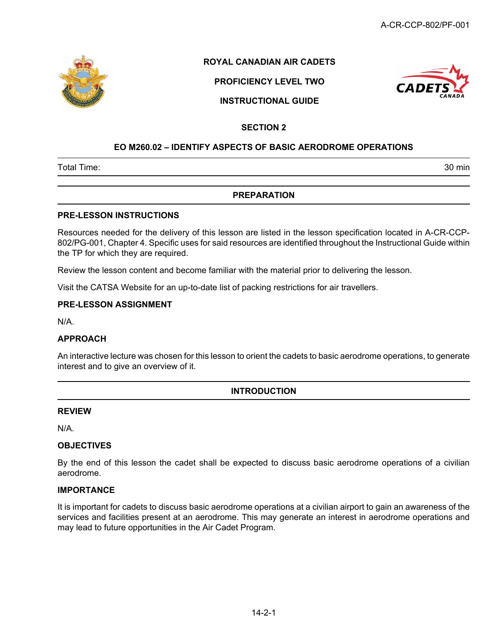

### ROYAL CANADIAN AIR CADETS

PROFICIENCY LEVEL TWO



INSTRUCTIONAL GUIDE

### SECTION 2

### EO M260.02 – IDENTIFY ASPECTS OF BASIC AERODROME OPERATIONS

Total Time: 30 min

### PREPARATION

### PRE-LESSON INSTRUCTIONS

Resources needed for the delivery of this lesson are listed in the lesson specification located in A-CR-CCP-802/PG-001, Chapter 4. Specific uses for said resources are identified throughout the Instructional Guide within the TP for which they are required.

Review the lesson content and become familiar with the material prior to delivering the lesson.

Visit the CATSA Website for an up-to-date list of packing restrictions for air travellers.

### PRE-LESSON ASSIGNMENT

N/A.

### APPROACH

An interactive lecture was chosen for this lesson to orient the cadets to basic aerodrome operations, to generate interest and to give an overview of it.

### INTRODUCTION

### REVIEW

N/A.

### **OBJECTIVES**

By the end of this lesson the cadet shall be expected to discuss basic aerodrome operations of a civilian aerodrome.

### IMPORTANCE

It is important for cadets to discuss basic aerodrome operations at a civilian airport to gain an awareness of the services and facilities present at an aerodrome. This may generate an interest in aerodrome operations and may lead to future opportunities in the Air Cadet Program.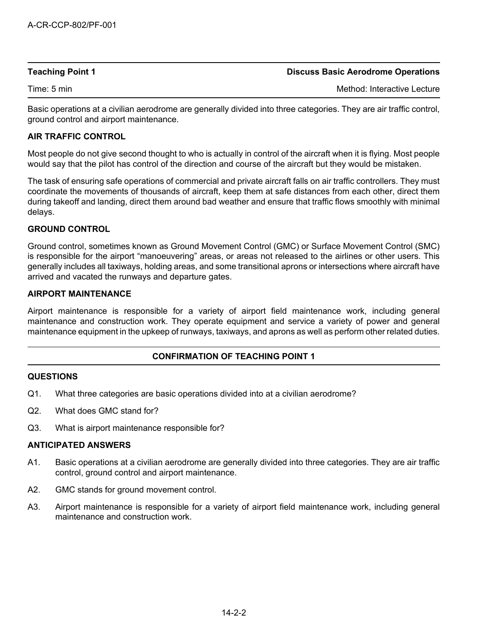| <b>Teaching Point 1</b> | <b>Discuss Basic Aerodrome Operations</b> |
|-------------------------|-------------------------------------------|
| Time: 5 min             | Method: Interactive Lecture               |

Basic operations at a civilian aerodrome are generally divided into three categories. They are air traffic control, ground control and airport maintenance.

### AIR TRAFFIC CONTROL

Most people do not give second thought to who is actually in control of the aircraft when it is flying. Most people would say that the pilot has control of the direction and course of the aircraft but they would be mistaken.

The task of ensuring safe operations of commercial and private aircraft falls on air traffic controllers. They must coordinate the movements of thousands of aircraft, keep them at safe distances from each other, direct them during takeoff and landing, direct them around bad weather and ensure that traffic flows smoothly with minimal delays.

### GROUND CONTROL

Ground control, sometimes known as Ground Movement Control (GMC) or Surface Movement Control (SMC) is responsible for the airport "manoeuvering" areas, or areas not released to the airlines or other users. This generally includes all taxiways, holding areas, and some transitional aprons or intersections where aircraft have arrived and vacated the runways and departure gates.

### AIRPORT MAINTENANCE

Airport maintenance is responsible for a variety of airport field maintenance work, including general maintenance and construction work. They operate equipment and service a variety of power and general maintenance equipment in the upkeep of runways, taxiways, and aprons as well as perform other related duties.

### CONFIRMATION OF TEACHING POINT 1

### **QUESTIONS**

- Q1. What three categories are basic operations divided into at a civilian aerodrome?
- Q2. What does GMC stand for?
- Q3. What is airport maintenance responsible for?

### ANTICIPATED ANSWERS

- A1. Basic operations at a civilian aerodrome are generally divided into three categories. They are air traffic control, ground control and airport maintenance.
- A2. GMC stands for ground movement control.
- A3. Airport maintenance is responsible for a variety of airport field maintenance work, including general maintenance and construction work.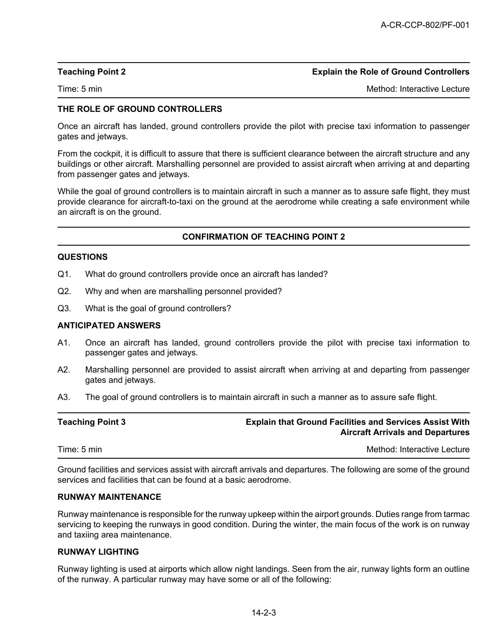### Teaching Point 2 Explain the Role of Ground Controllers

Time: 5 min Method: Interactive Lecture Company of Time: 5 min Method: Interactive Lecture

### THE ROLE OF GROUND CONTROLLERS

Once an aircraft has landed, ground controllers provide the pilot with precise taxi information to passenger gates and jetways.

From the cockpit, it is difficult to assure that there is sufficient clearance between the aircraft structure and any buildings or other aircraft. Marshalling personnel are provided to assist aircraft when arriving at and departing from passenger gates and jetways.

While the goal of ground controllers is to maintain aircraft in such a manner as to assure safe flight, they must provide clearance for aircraft-to-taxi on the ground at the aerodrome while creating a safe environment while an aircraft is on the ground.

### CONFIRMATION OF TEACHING POINT 2

### QUESTIONS

- Q1. What do ground controllers provide once an aircraft has landed?
- Q2. Why and when are marshalling personnel provided?
- Q3. What is the goal of ground controllers?

### ANTICIPATED ANSWERS

- A1. Once an aircraft has landed, ground controllers provide the pilot with precise taxi information to passenger gates and jetways.
- A2. Marshalling personnel are provided to assist aircraft when arriving at and departing from passenger gates and jetways.
- A3. The goal of ground controllers is to maintain aircraft in such a manner as to assure safe flight.

| <b>Teaching Point 3</b> | <b>Explain that Ground Facilities and Services Assist With</b><br><b>Aircraft Arrivals and Departures</b> |
|-------------------------|-----------------------------------------------------------------------------------------------------------|
| Time: 5 min             | Method: Interactive Lecture                                                                               |

Ground facilities and services assist with aircraft arrivals and departures. The following are some of the ground services and facilities that can be found at a basic aerodrome.

### RUNWAY MAINTENANCE

Runway maintenance is responsible for the runway upkeep within the airport grounds. Duties range from tarmac servicing to keeping the runways in good condition. During the winter, the main focus of the work is on runway and taxiing area maintenance.

### RUNWAY LIGHTING

Runway lighting is used at airports which allow night landings. Seen from the air, runway lights form an outline of the runway. A particular runway may have some or all of the following: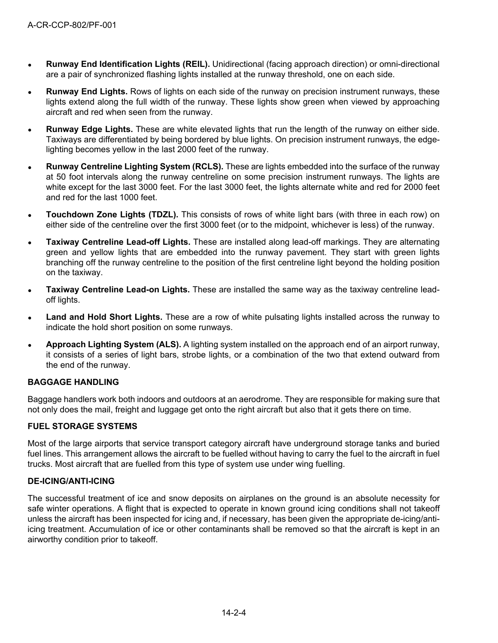- Runway End Identification Lights (REIL). Unidirectional (facing approach direction) or omni-directional  $\bullet$ are a pair of synchronized flashing lights installed at the runway threshold, one on each side.
- Runway End Lights. Rows of lights on each side of the runway on precision instrument runways, these lights extend along the full width of the runway. These lights show green when viewed by approaching aircraft and red when seen from the runway.
- Runway Edge Lights. These are white elevated lights that run the length of the runway on either side. Taxiways are differentiated by being bordered by blue lights. On precision instrument runways, the edgelighting becomes yellow in the last 2000 feet of the runway.
- Runway Centreline Lighting System (RCLS). These are lights embedded into the surface of the runway  $\bullet$ at 50 foot intervals along the runway centreline on some precision instrument runways. The lights are white except for the last 3000 feet. For the last 3000 feet, the lights alternate white and red for 2000 feet and red for the last 1000 feet.
- Touchdown Zone Lights (TDZL). This consists of rows of white light bars (with three in each row) on either side of the centreline over the first 3000 feet (or to the midpoint, whichever is less) of the runway.
- Taxiway Centreline Lead-off Lights. These are installed along lead-off markings. They are alternating  $\bullet$ green and yellow lights that are embedded into the runway pavement. They start with green lights branching off the runway centreline to the position of the first centreline light beyond the holding position on the taxiway.
- Taxiway Centreline Lead-on Lights. These are installed the same way as the taxiway centreline lead- $\bullet$ off lights.
- Land and Hold Short Lights. These are a row of white pulsating lights installed across the runway to indicate the hold short position on some runways.
- Approach Lighting System (ALS). A lighting system installed on the approach end of an airport runway, it consists of a series of light bars, strobe lights, or a combination of the two that extend outward from the end of the runway.

### BAGGAGE HANDLING

Baggage handlers work both indoors and outdoors at an aerodrome. They are responsible for making sure that not only does the mail, freight and luggage get onto the right aircraft but also that it gets there on time.

### FUEL STORAGE SYSTEMS

Most of the large airports that service transport category aircraft have underground storage tanks and buried fuel lines. This arrangement allows the aircraft to be fuelled without having to carry the fuel to the aircraft in fuel trucks. Most aircraft that are fuelled from this type of system use under wing fuelling.

### DE-ICING/ANTI-ICING

The successful treatment of ice and snow deposits on airplanes on the ground is an absolute necessity for safe winter operations. A flight that is expected to operate in known ground icing conditions shall not takeoff unless the aircraft has been inspected for icing and, if necessary, has been given the appropriate de-icing/antiicing treatment. Accumulation of ice or other contaminants shall be removed so that the aircraft is kept in an airworthy condition prior to takeoff.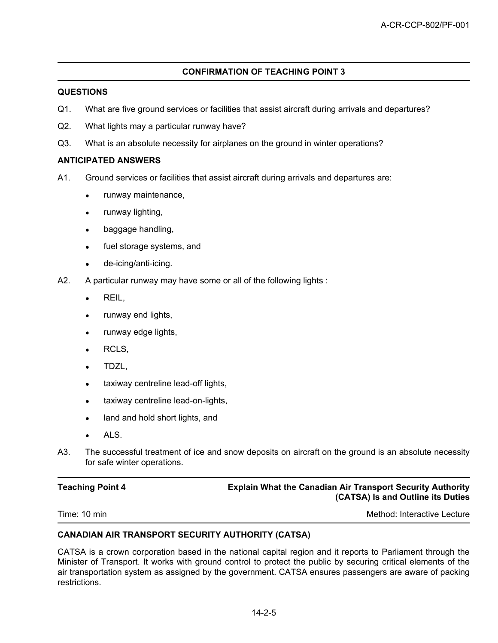### CONFIRMATION OF TEACHING POINT 3

### QUESTIONS

- Q1. What are five ground services or facilities that assist aircraft during arrivals and departures?
- Q2. What lights may a particular runway have?
- Q3. What is an absolute necessity for airplanes on the ground in winter operations?

### ANTICIPATED ANSWERS

- A1. Ground services or facilities that assist aircraft during arrivals and departures are:
	- $\bullet$ runway maintenance,
	- runway lighting,  $\bullet$
	- baggage handling,  $\bullet$
	- fuel storage systems, and  $\bullet$
	- $\bullet$ de-icing/anti-icing.
- A2. A particular runway may have some or all of the following lights :
	- REIL,  $\bullet$
	- $\bullet$ runway end lights,
	- runway edge lights,  $\bullet$
	- RCLS,  $\bullet$
	- TDZL,  $\bullet$
	- taxiway centreline lead-off lights,  $\bullet$
	- $\bullet$ taxiway centreline lead-on-lights,
	- land and hold short lights, and  $\bullet$
	- ALS.  $\bullet$
- A3. The successful treatment of ice and snow deposits on aircraft on the ground is an absolute necessity for safe winter operations.

### Teaching Point 4 Explain What the Canadian Air Transport Security Authority (CATSA) Is and Outline its Duties

Time: 10 min Method: Interactive Lecture Company of Time: 10 min Method: Interactive Lecture

### CANADIAN AIR TRANSPORT SECURITY AUTHORITY (CATSA)

CATSA is a crown corporation based in the national capital region and it reports to Parliament through the Minister of Transport. It works with ground control to protect the public by securing critical elements of the air transportation system as assigned by the government. CATSA ensures passengers are aware of packing restrictions.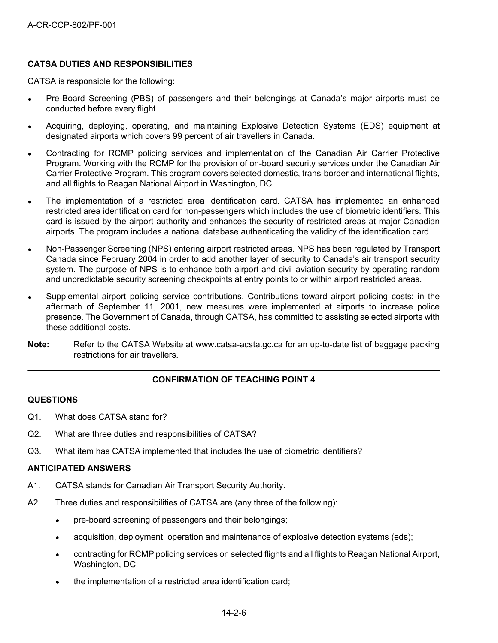### CATSA DUTIES AND RESPONSIBILITIES

CATSA is responsible for the following:

- Pre-Board Screening (PBS) of passengers and their belongings at Canada's major airports must be  $\bullet$ conducted before every flight.
- Acquiring, deploying, operating, and maintaining Explosive Detection Systems (EDS) equipment at designated airports which covers 99 percent of air travellers in Canada.
- Contracting for RCMP policing services and implementation of the Canadian Air Carrier Protective Program. Working with the RCMP for the provision of on-board security services under the Canadian Air Carrier Protective Program. This program covers selected domestic, trans-border and international flights, and all flights to Reagan National Airport in Washington, DC.
- The implementation of a restricted area identification card. CATSA has implemented an enhanced  $\bullet$ restricted area identification card for non-passengers which includes the use of biometric identifiers. This card is issued by the airport authority and enhances the security of restricted areas at major Canadian airports. The program includes a national database authenticating the validity of the identification card.
- Non-Passenger Screening (NPS) entering airport restricted areas. NPS has been regulated by Transport Canada since February 2004 in order to add another layer of security to Canada's air transport security system. The purpose of NPS is to enhance both airport and civil aviation security by operating random and unpredictable security screening checkpoints at entry points to or within airport restricted areas.
- Supplemental airport policing service contributions. Contributions toward airport policing costs: in the  $\bullet$ aftermath of September 11, 2001, new measures were implemented at airports to increase police presence. The Government of Canada, through CATSA, has committed to assisting selected airports with these additional costs.
- Note: Refer to the CATSA Website at www.catsa-acsta.gc.ca for an up-to-date list of baggage packing restrictions for air travellers.

### CONFIRMATION OF TEACHING POINT 4

### QUESTIONS

- Q1. What does CATSA stand for?
- Q2. What are three duties and responsibilities of CATSA?
- Q3. What item has CATSA implemented that includes the use of biometric identifiers?

### ANTICIPATED ANSWERS

- A1. CATSA stands for Canadian Air Transport Security Authority.
- A2. Three duties and responsibilities of CATSA are (any three of the following):
	- pre-board screening of passengers and their belongings;  $\bullet$
	- acquisition, deployment, operation and maintenance of explosive detection systems (eds);
	- contracting for RCMP policing services on selected flights and all flights to Reagan National Airport, Washington, DC;
	- the implementation of a restricted area identification card;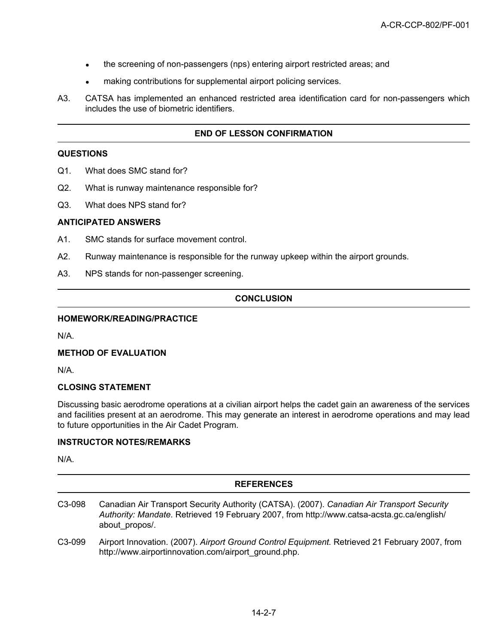- the screening of non-passengers (nps) entering airport restricted areas; and  $\bullet$
- making contributions for supplemental airport policing services.  $\bullet$
- A3. CATSA has implemented an enhanced restricted area identification card for non-passengers which includes the use of biometric identifiers.

### END OF LESSON CONFIRMATION

### **QUESTIONS**

- Q1. What does SMC stand for?
- Q2. What is runway maintenance responsible for?
- Q3. What does NPS stand for?

### ANTICIPATED ANSWERS

- A1. SMC stands for surface movement control.
- A2. Runway maintenance is responsible for the runway upkeep within the airport grounds.
- A3. NPS stands for non-passenger screening.

### **CONCLUSION**

### HOMEWORK/READING/PRACTICE

N/A.

### METHOD OF EVALUATION

N/A.

### CLOSING STATEMENT

Discussing basic aerodrome operations at a civilian airport helps the cadet gain an awareness of the services and facilities present at an aerodrome. This may generate an interest in aerodrome operations and may lead to future opportunities in the Air Cadet Program.

### INSTRUCTOR NOTES/REMARKS

N/A.

### **REFERENCES**

- C3-098 Canadian Air Transport Security Authority (CATSA). (2007). Canadian Air Transport Security Authority: Mandate. Retrieved 19 February 2007, from http://www.catsa-acsta.gc.ca/english/ about\_propos/.
- C3-099 Airport Innovation. (2007). Airport Ground Control Equipment. Retrieved 21 February 2007, from http://www.airportinnovation.com/airport\_ground.php.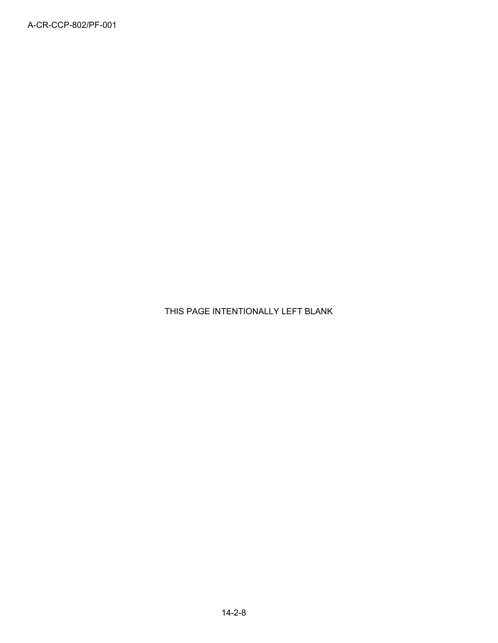THIS PAGE INTENTIONALLY LEFT BLANK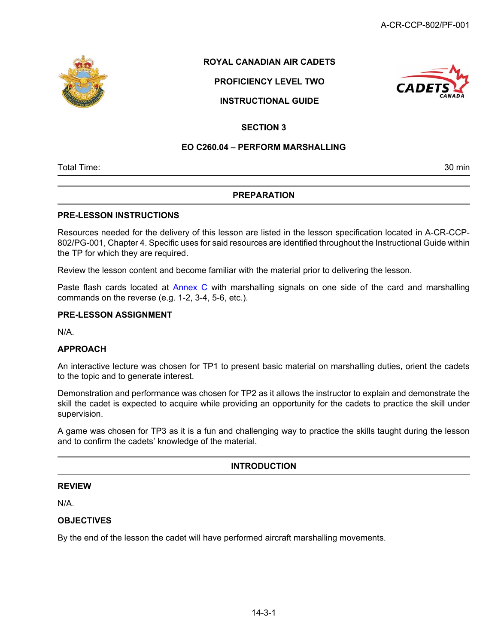

### ROYAL CANADIAN AIR CADETS

### PROFICIENCY LEVEL TWO



INSTRUCTIONAL GUIDE

### SECTION 3

### EO C260.04 – PERFORM MARSHALLING

Total Time: 30 min

### PREPARATION

### PRE-LESSON INSTRUCTIONS

Resources needed for the delivery of this lesson are listed in the lesson specification located in A-CR-CCP-802/PG-001, Chapter 4. Specific uses for said resources are identified throughout the Instructional Guide within the TP for which they are required.

Review the lesson content and become familiar with the material prior to delivering the lesson.

Paste flash cards located at Annex C with marshalling signals on one side of the card and marshalling commands on the reverse (e.g. 1-2, 3-4, 5-6, etc.).

### PRE-LESSON ASSIGNMENT

N/A.

### APPROACH

An interactive lecture was chosen for TP1 to present basic material on marshalling duties, orient the cadets to the topic and to generate interest.

Demonstration and performance was chosen for TP2 as it allows the instructor to explain and demonstrate the skill the cadet is expected to acquire while providing an opportunity for the cadets to practice the skill under supervision.

A game was chosen for TP3 as it is a fun and challenging way to practice the skills taught during the lesson and to confirm the cadets' knowledge of the material.

### **INTRODUCTION**

REVIEW

N/A.

### **OBJECTIVES**

By the end of the lesson the cadet will have performed aircraft marshalling movements.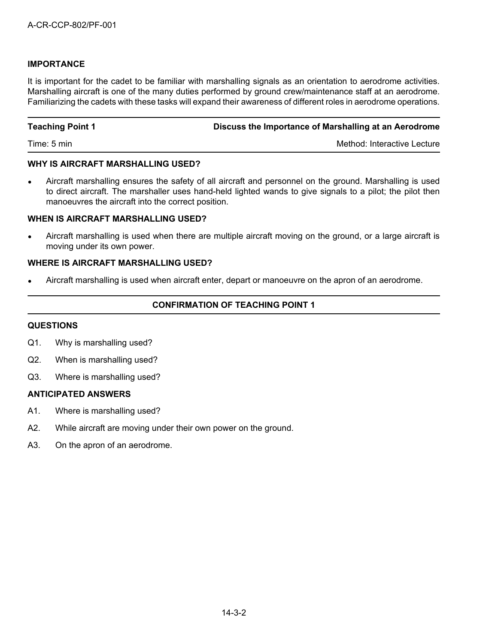### **IMPORTANCE**

It is important for the cadet to be familiar with marshalling signals as an orientation to aerodrome activities. Marshalling aircraft is one of the many duties performed by ground crew/maintenance staff at an aerodrome. Familiarizing the cadets with these tasks will expand their awareness of different roles in aerodrome operations.

### Teaching Point 1 Discuss the Importance of Marshalling at an Aerodrome

Time: 5 min Method: Interactive Lecture Communication of the Method: Interactive Lecture

### WHY IS AIRCRAFT MARSHALLING USED?

Aircraft marshalling ensures the safety of all aircraft and personnel on the ground. Marshalling is used to direct aircraft. The marshaller uses hand-held lighted wands to give signals to a pilot; the pilot then manoeuvres the aircraft into the correct position.

### WHEN IS AIRCRAFT MARSHALLING USED?

Aircraft marshalling is used when there are multiple aircraft moving on the ground, or a large aircraft is  $\bullet$ moving under its own power.

### WHERE IS AIRCRAFT MARSHALLING USED?

Aircraft marshalling is used when aircraft enter, depart or manoeuvre on the apron of an aerodrome.

### CONFIRMATION OF TEACHING POINT 1

### QUESTIONS

- Q1. Why is marshalling used?
- Q2. When is marshalling used?
- Q3. Where is marshalling used?

### ANTICIPATED ANSWERS

- A1. Where is marshalling used?
- A2. While aircraft are moving under their own power on the ground.
- A3. On the apron of an aerodrome.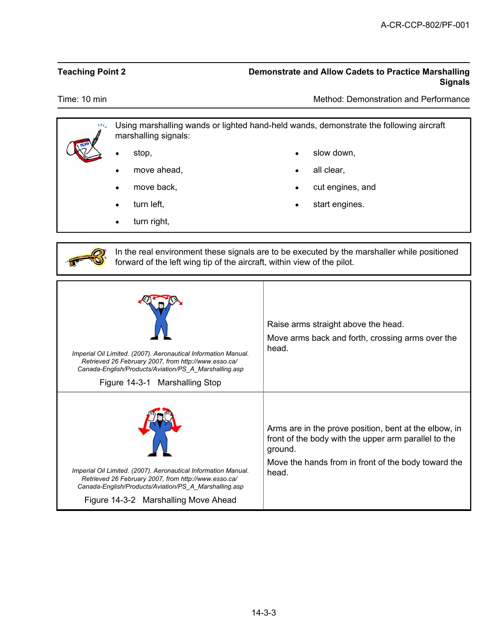### Teaching Point 2 Demonstrate and Allow Cadets to Practice Marshalling **Signals**

Time: 10 min Method: Demonstration and Performance

 $\overline{u}$ Using marshalling wands or lighted hand-held wands, demonstrate the following aircraft marshalling signals:

- stop,
- move ahead,  $\bullet$
- move back,  $\bullet$
- turn left,  $\bullet$
- turn right,  $\bullet$
- slow down,
- all clear,  $\bullet$

 $\bullet$ 

- cut engines, and  $\bullet$
- start engines.  $\bullet$



In the real environment these signals are to be executed by the marshaller while positioned forward of the left wing tip of the aircraft, within view of the pilot.

| Imperial Oil Limited. (2007). Aeronautical Information Manual.<br>Retrieved 26 February 2007, from http://www.esso.ca/<br>Canada-English/Products/Aviation/PS_A_Marshalling.asp<br>Figure 14-3-1 Marshalling Stop       | Raise arms straight above the head.<br>Move arms back and forth, crossing arms over the<br>head.                                                                                         |
|-------------------------------------------------------------------------------------------------------------------------------------------------------------------------------------------------------------------------|------------------------------------------------------------------------------------------------------------------------------------------------------------------------------------------|
| Imperial Oil Limited. (2007). Aeronautical Information Manual.<br>Retrieved 26 February 2007, from http://www.esso.ca/<br>Canada-English/Products/Aviation/PS_A_Marshalling.asp<br>Figure 14-3-2 Marshalling Move Ahead | Arms are in the prove position, bent at the elbow, in<br>front of the body with the upper arm parallel to the<br>ground.<br>Move the hands from in front of the body toward the<br>head. |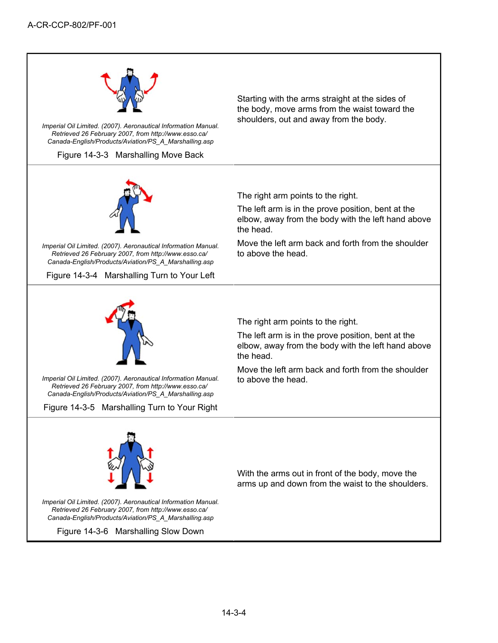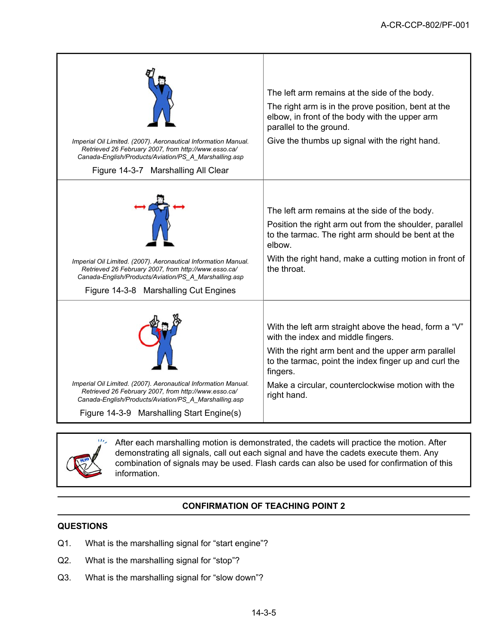



After each marshalling motion is demonstrated, the cadets will practice the motion. After demonstrating all signals, call out each signal and have the cadets execute them. Any combination of signals may be used. Flash cards can also be used for confirmation of this information.

### CONFIRMATION OF TEACHING POINT 2

### **QUESTIONS**

- Q1. What is the marshalling signal for "start engine"?
- Q2. What is the marshalling signal for "stop"?
- Q3. What is the marshalling signal for "slow down"?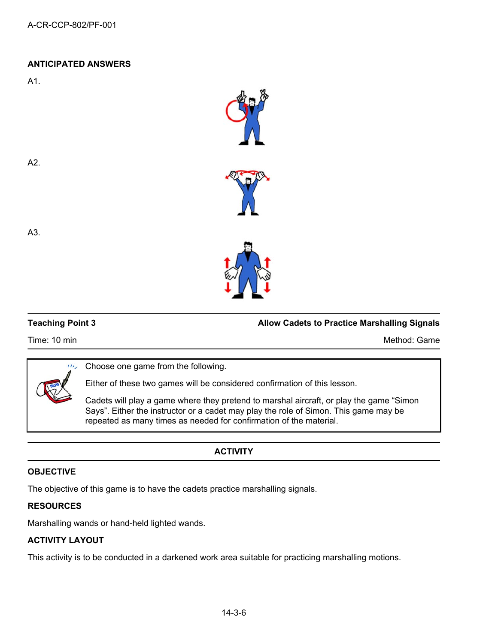### ANTICIPATED ANSWERS

A1.





A3.

### Teaching Point 3 **Teaching Point 3** Allow Cadets to Practice Marshalling Signals

Time: 10 min Method: Game

Choose one game from the following.  $\overline{u}$ 

Either of these two games will be considered confirmation of this lesson.

Cadets will play a game where they pretend to marshal aircraft, or play the game "Simon Says". Either the instructor or a cadet may play the role of Simon. This game may be repeated as many times as needed for confirmation of the material.

### **ACTIVITY**

### **OBJECTIVE**

The objective of this game is to have the cadets practice marshalling signals.

### RESOURCES

Marshalling wands or hand-held lighted wands.

### ACTIVITY LAYOUT

This activity is to be conducted in a darkened work area suitable for practicing marshalling motions.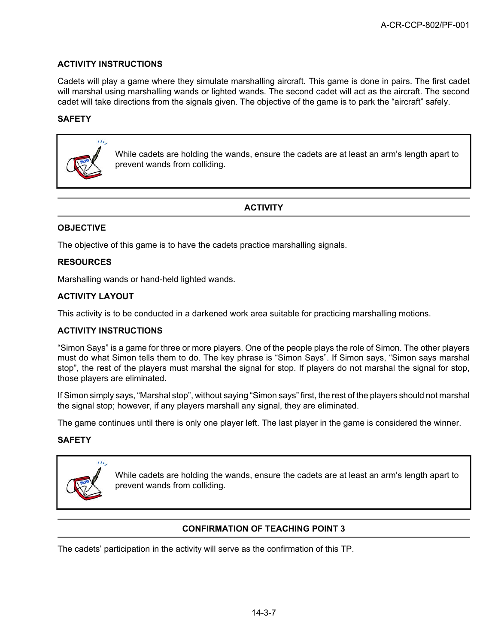### ACTIVITY INSTRUCTIONS

Cadets will play a game where they simulate marshalling aircraft. This game is done in pairs. The first cadet will marshal using marshalling wands or lighted wands. The second cadet will act as the aircraft. The second cadet will take directions from the signals given. The objective of the game is to park the "aircraft" safely.

### **SAFETY**



While cadets are holding the wands, ensure the cadets are at least an arm's length apart to prevent wands from colliding.

### **ACTIVITY**

### **OBJECTIVE**

The objective of this game is to have the cadets practice marshalling signals.

### **RESOURCES**

Marshalling wands or hand-held lighted wands.

### ACTIVITY LAYOUT

This activity is to be conducted in a darkened work area suitable for practicing marshalling motions.

### ACTIVITY INSTRUCTIONS

"Simon Says" is a game for three or more players. One of the people plays the role of Simon. The other players must do what Simon tells them to do. The key phrase is "Simon Says". If Simon says, "Simon says marshal stop", the rest of the players must marshal the signal for stop. If players do not marshal the signal for stop, those players are eliminated.

If Simon simply says, "Marshal stop", without saying "Simon says" first, the rest of the players should not marshal the signal stop; however, if any players marshall any signal, they are eliminated.

The game continues until there is only one player left. The last player in the game is considered the winner.

### **SAFETY**



While cadets are holding the wands, ensure the cadets are at least an arm's length apart to prevent wands from colliding.

### CONFIRMATION OF TEACHING POINT 3

The cadets' participation in the activity will serve as the confirmation of this TP.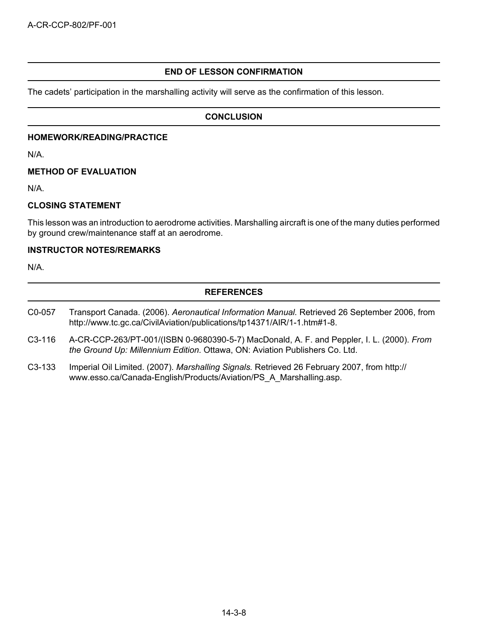### END OF LESSON CONFIRMATION

The cadets' participation in the marshalling activity will serve as the confirmation of this lesson.

### **CONCLUSION**

### HOMEWORK/READING/PRACTICE

N/A.

### METHOD OF EVALUATION

N/A.

### CLOSING STATEMENT

This lesson was an introduction to aerodrome activities. Marshalling aircraft is one of the many duties performed by ground crew/maintenance staff at an aerodrome.

### INSTRUCTOR NOTES/REMARKS

N/A.

### **REFERENCES**

- C0-057 Transport Canada. (2006). Aeronautical Information Manual. Retrieved 26 September 2006, from http://www.tc.gc.ca/CivilAviation/publications/tp14371/AIR/1-1.htm#1-8.
- C3-116 A-CR-CCP-263/PT-001/(ISBN 0-9680390-5-7) MacDonald, A. F. and Peppler, I. L. (2000). From the Ground Up: Millennium Edition. Ottawa, ON: Aviation Publishers Co. Ltd.
- C3-133 Imperial Oil Limited. (2007). Marshalling Signals. Retrieved 26 February 2007, from http:// www.esso.ca/Canada-English/Products/Aviation/PS\_A\_Marshalling.asp.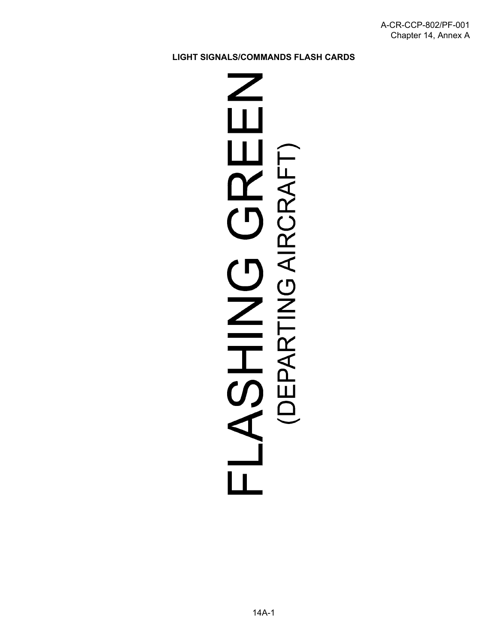LIGHT SIGNALS/COMMANDS FLASH CARDS

# $\blacksquare$ PARTING AIRCRAF D)  $\underline{\underline{\mathsf{S}}}_{\mathsf{S}}$ ー<br>の<br>の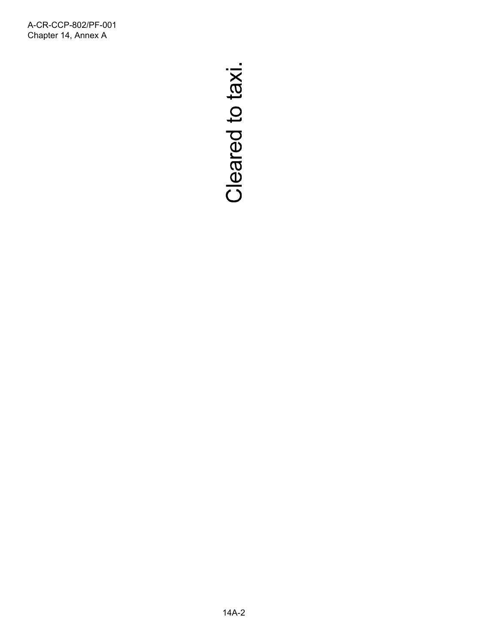# Cleared to taxi.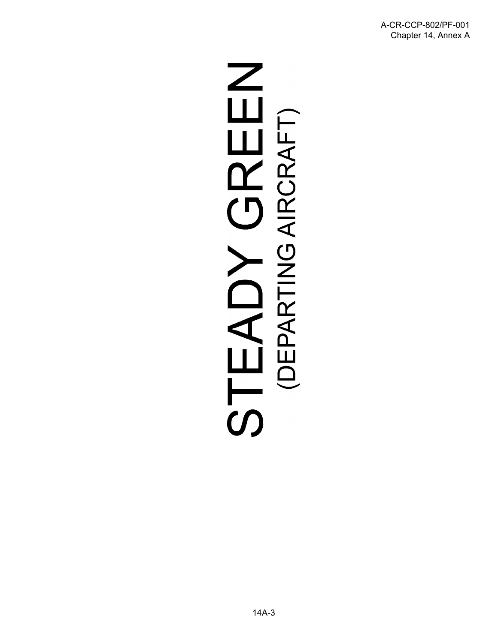## $\overline{\underline{L}}$  $\frac{1}{2}$ (DEPARTING AIRCRAFT) D)  $\overline{\textbf{K}}$  $\mathsf{I}$  $\boldsymbol{\mathcal{D}}$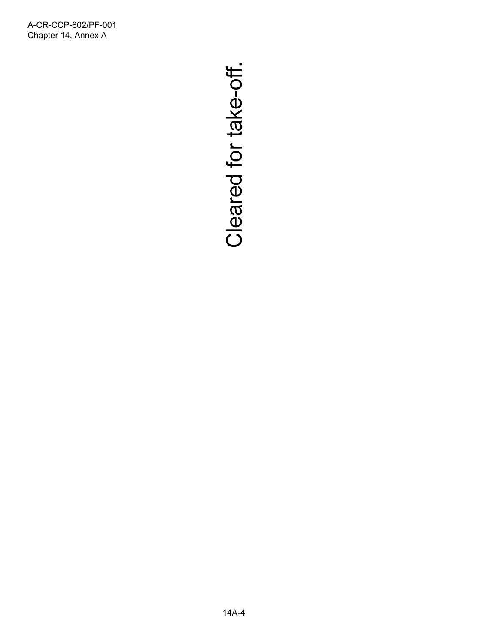Cleared for take-off.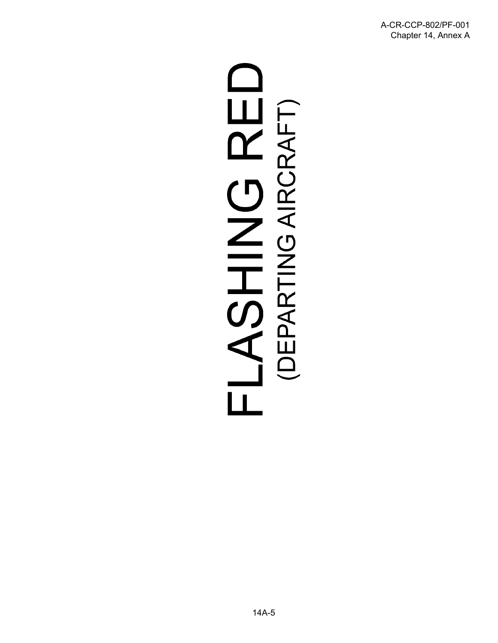# SHINGARCRAFT)  $\overline{\mathbf{L}}$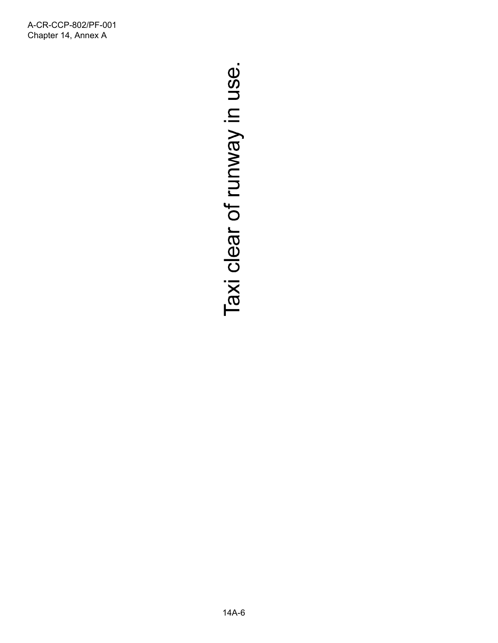Taxi clear of runway in use.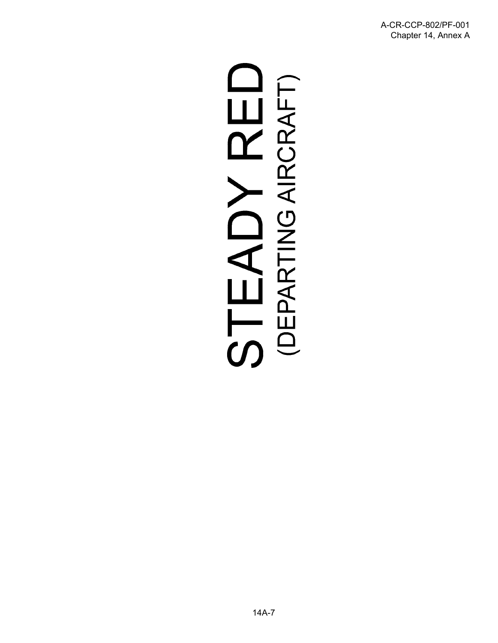# STEARTING AIRCRAFT)  $\overline{5}$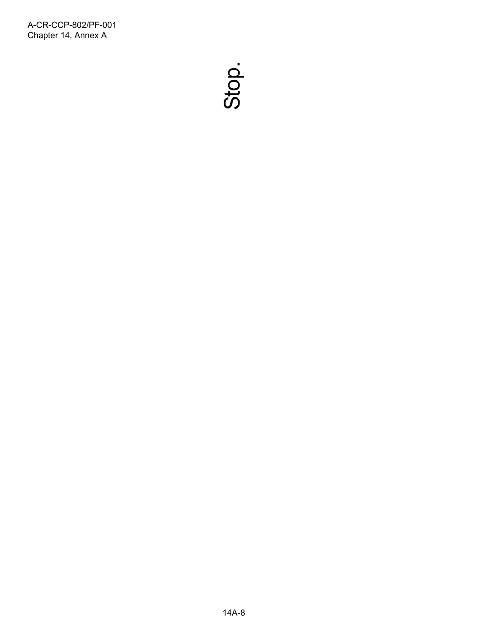## Stop.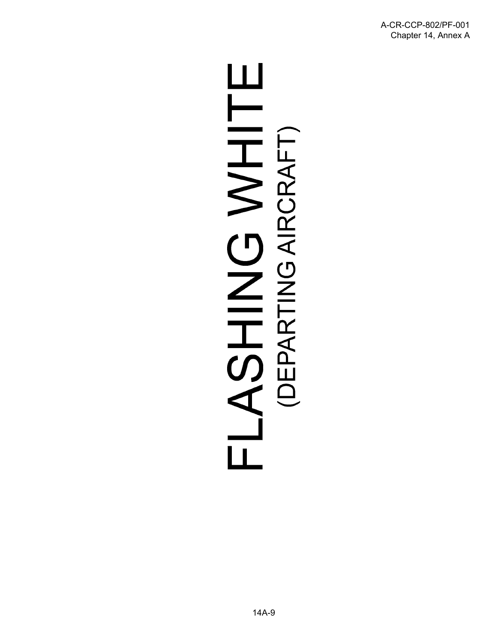# $\mathbf{u}$ ┝ ASHING VRCRAFT)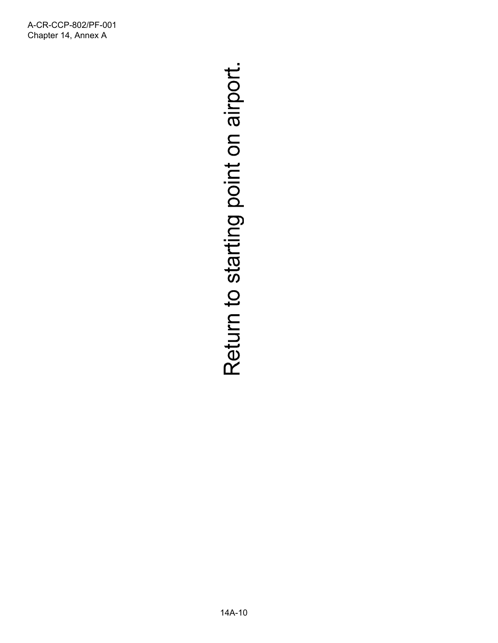Return to starting point on airport.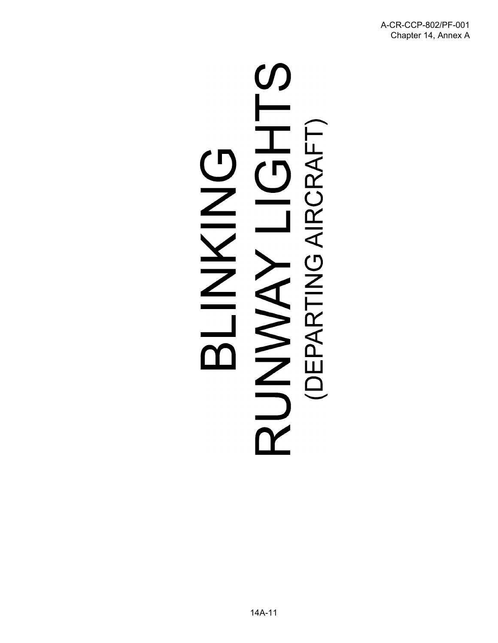## $\boldsymbol{\mathcal{O}}$  $\overline{\mathbf{L}}$  $\frac{0}{2}$ EPARTING AIRCRAF Ŋ  $\overline{\underline{Z}}$  $\sum_{i=1}^{n}$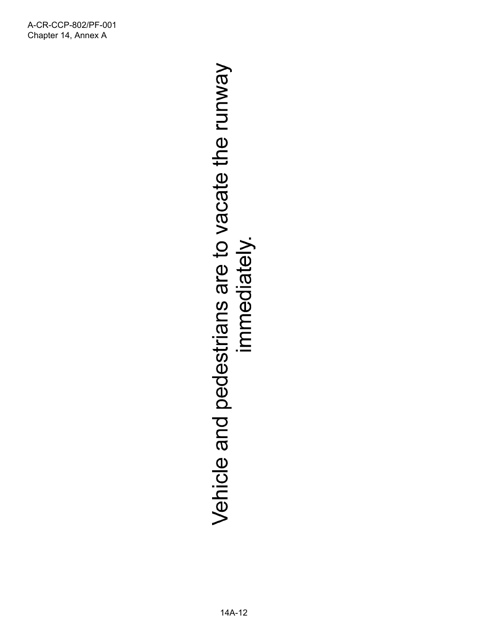# Vehicle and pedestrians are to vacate the runway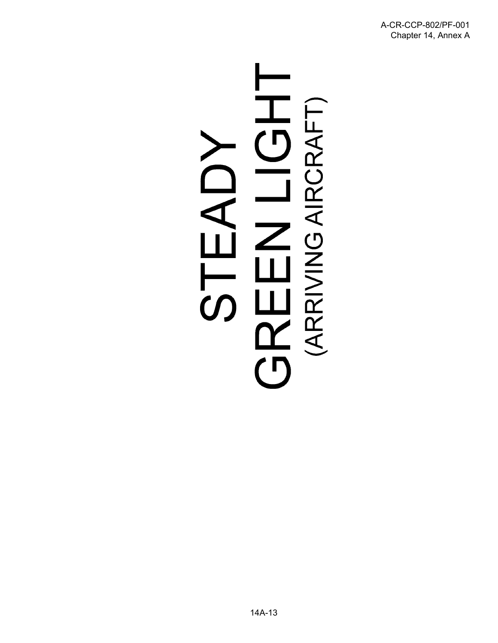# (ARRIVING AIRCRAFT)  $\overline{\mathbf{C}}$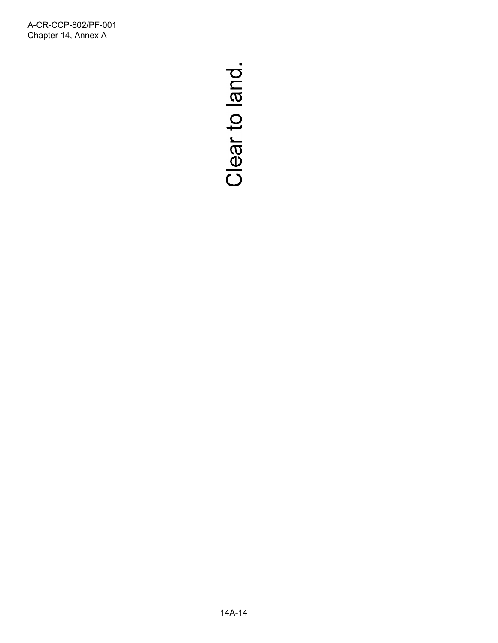# Clear to land.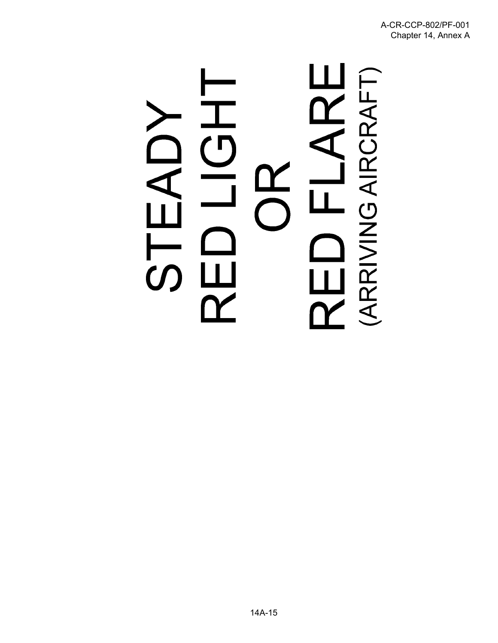### (ARRIVING AIRCRAFT)  $\blacksquare$ m, ī  $\bm{C}$ Ŋ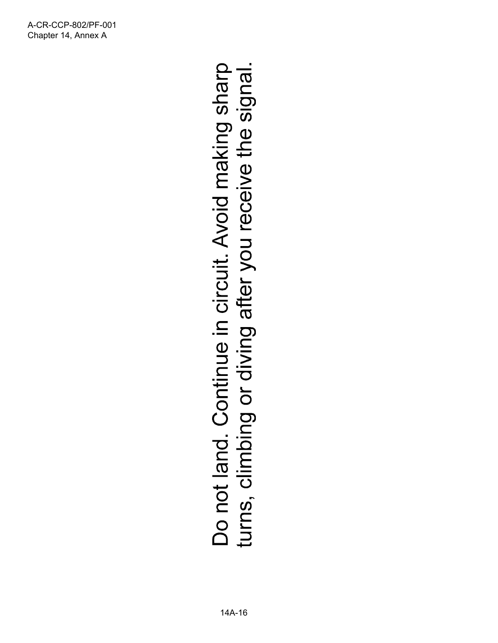Do not land. Continue in circuit. Avoid making sharp<br>turns, climbing or diving after you receive the signal.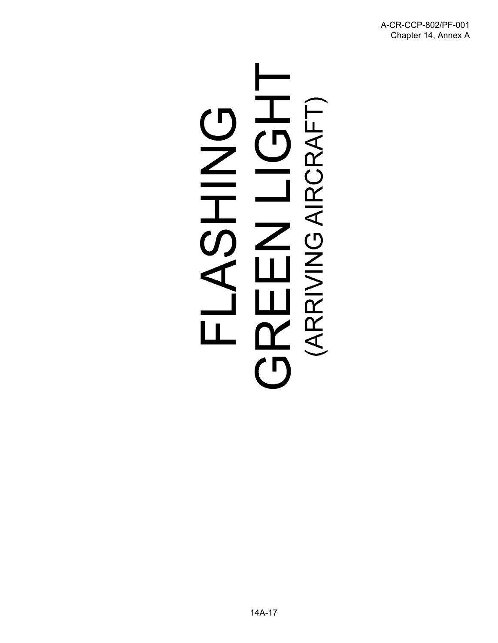## (ARRIVING AIRCRAFT)  $\mathsf C$ ŋ  $\frac{6}{5}$  $\overline{\phantom{a}}$  $\overline{C}$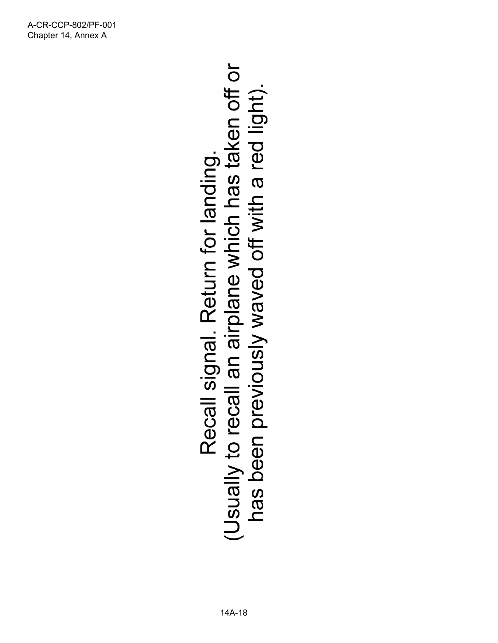Recall signal. Return for landing.<br>(Usually to recall an airplane which has taken off or<br>has been previously waved off with a red light).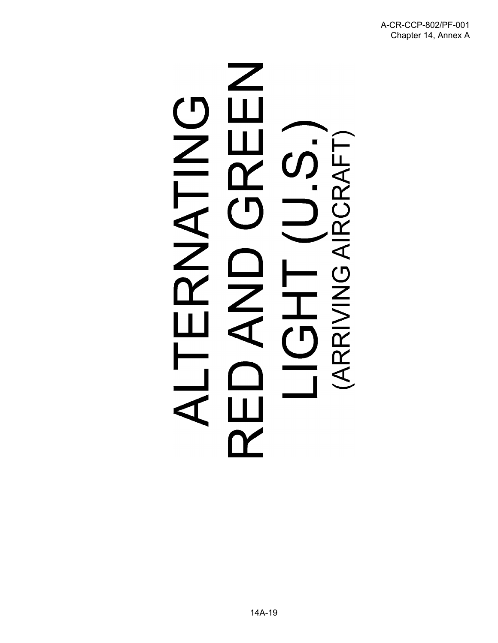# $\boldsymbol{Z}$  $\mathfrak{c}$  r Z<br>H CRA  $\blacksquare$ ARRIVING AIR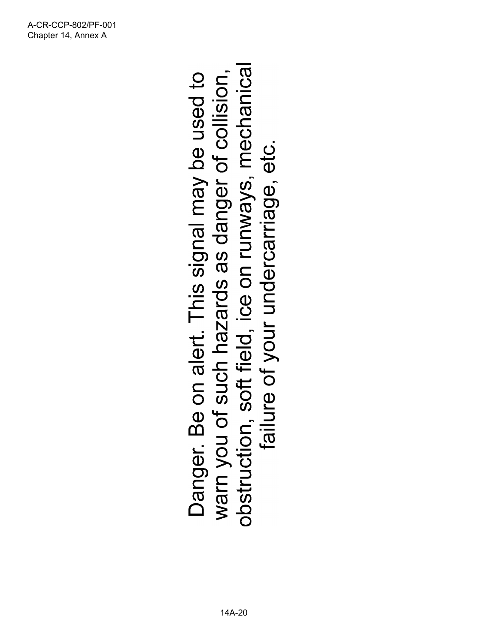obstruction, soft field, ice on runways, mechanica warn you of such hazards as danger of collision, Danger. Be on alert. This signal may be used to failure of your undercarriage, etc.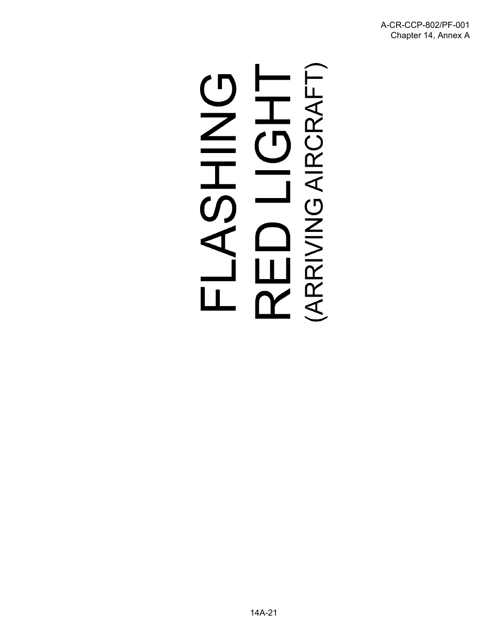## $\mathsf{C}$ ARRIVING AIRCRAFT)  $\breve{\mathsf{Z}}$  $\Gamma$  $\overline{C}$ Ŋ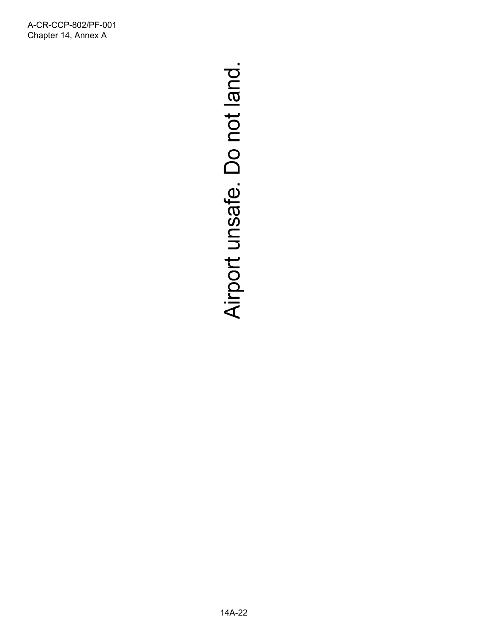Airport unsafe. Do not land.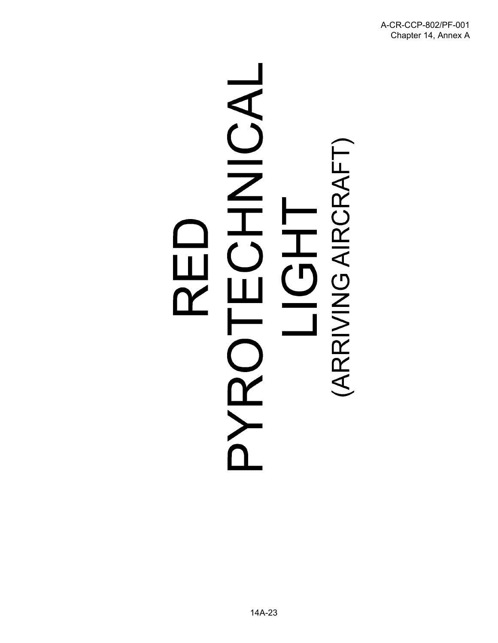# AUNICA (ARRIVING AIRCRAFT)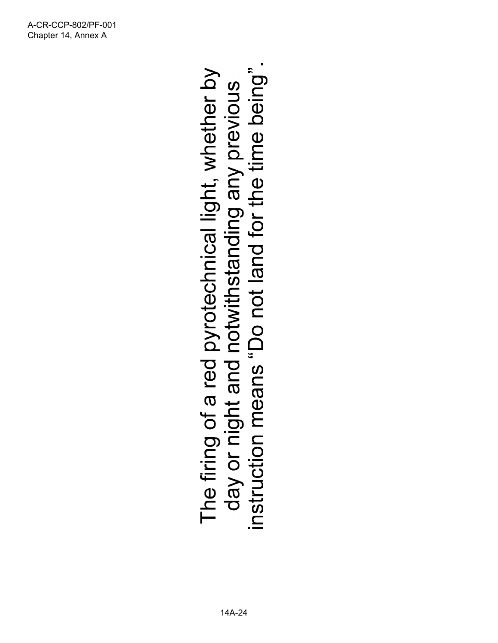day or night and notwithstanding any previous<br>instruction means "Do not land for the time being" The firing of a red pyrotechnical light, whether by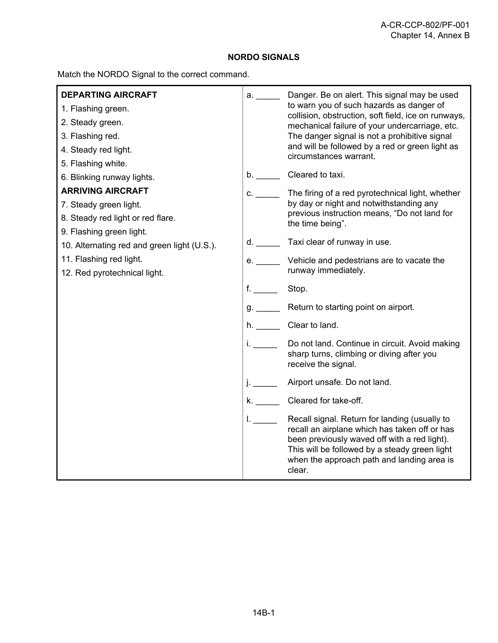### NORDO SIGNALS

Match the NORDO Signal to the correct command.

| <b>DEPARTING AIRCRAFT</b><br>1. Flashing green.<br>2. Steady green.<br>3. Flashing red.<br>4. Steady red light.<br>5. Flashing white. | a.       | Danger. Be on alert. This signal may be used<br>to warn you of such hazards as danger of<br>collision, obstruction, soft field, ice on runways,<br>mechanical failure of your undercarriage, etc.<br>The danger signal is not a prohibitive signal<br>and will be followed by a red or green light as<br>circumstances warrant. |
|---------------------------------------------------------------------------------------------------------------------------------------|----------|---------------------------------------------------------------------------------------------------------------------------------------------------------------------------------------------------------------------------------------------------------------------------------------------------------------------------------|
| 6. Blinking runway lights.                                                                                                            | b.       | Cleared to taxi.                                                                                                                                                                                                                                                                                                                |
| <b>ARRIVING AIRCRAFT</b><br>7. Steady green light.<br>8. Steady red light or red flare.<br>9. Flashing green light.                   | c.       | The firing of a red pyrotechnical light, whether<br>by day or night and notwithstanding any<br>previous instruction means, "Do not land for<br>the time being".                                                                                                                                                                 |
| 10. Alternating red and green light (U.S.).                                                                                           |          | d. ________ Taxi clear of runway in use.                                                                                                                                                                                                                                                                                        |
| 11. Flashing red light.<br>12. Red pyrotechnical light.                                                                               |          | e. ________ Vehicle and pedestrians are to vacate the<br>runway immediately.                                                                                                                                                                                                                                                    |
|                                                                                                                                       | f. Stop. |                                                                                                                                                                                                                                                                                                                                 |
|                                                                                                                                       |          | g. ________ Return to starting point on airport.                                                                                                                                                                                                                                                                                |
|                                                                                                                                       |          | h. Clear to land.                                                                                                                                                                                                                                                                                                               |
|                                                                                                                                       |          | Do not land. Continue in circuit. Avoid making<br>sharp turns, climbing or diving after you<br>receive the signal.                                                                                                                                                                                                              |
|                                                                                                                                       |          | Airport unsafe. Do not land.                                                                                                                                                                                                                                                                                                    |
|                                                                                                                                       |          | k. Cleared for take-off.                                                                                                                                                                                                                                                                                                        |
|                                                                                                                                       |          | Recall signal. Return for landing (usually to<br>recall an airplane which has taken off or has<br>been previously waved off with a red light).<br>This will be followed by a steady green light<br>when the approach path and landing area is<br>clear.                                                                         |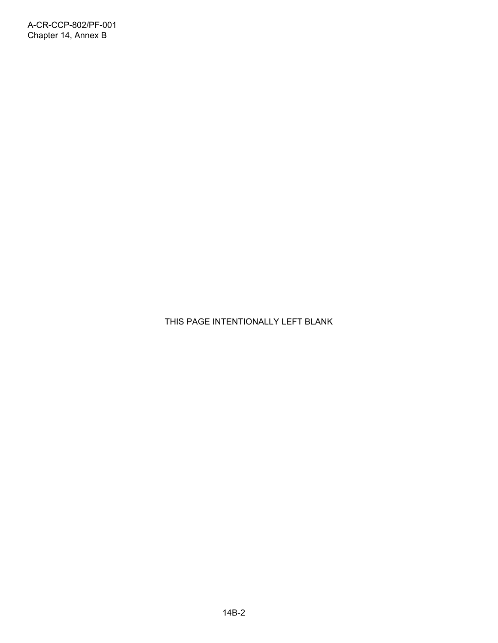THIS PAGE INTENTIONALLY LEFT BLANK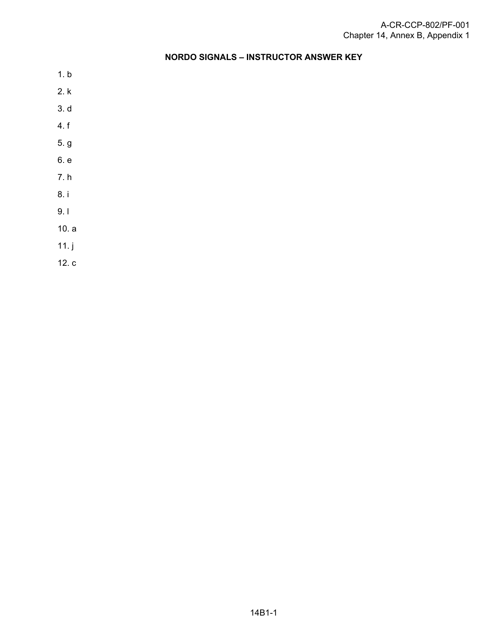### NORDO SIGNALS – INSTRUCTOR ANSWER KEY

- 1. b
- 2. k
- 3. d
- 4. f
- 5. g
- 6. e
- 7. h
- 8. i
- 9. l
- 10. a
- $11. j$
- 12. c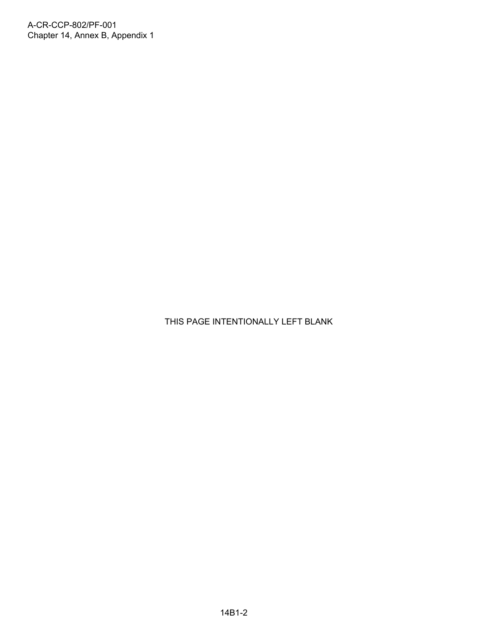A-CR-CCP-802/PF-001 Chapter 14, Annex B, Appendix 1

THIS PAGE INTENTIONALLY LEFT BLANK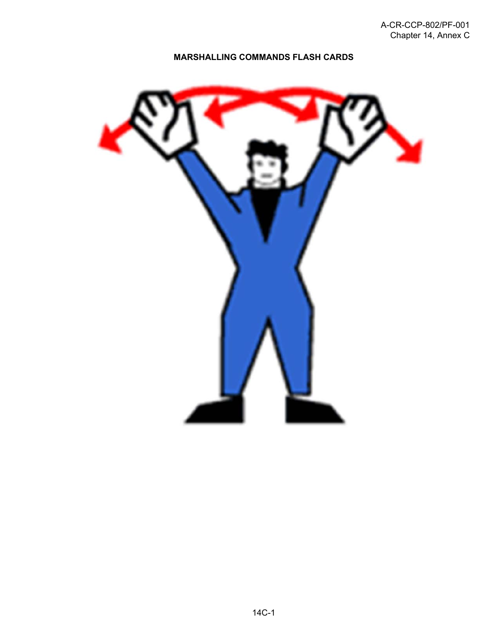### MARSHALLING COMMANDS FLASH CARDS

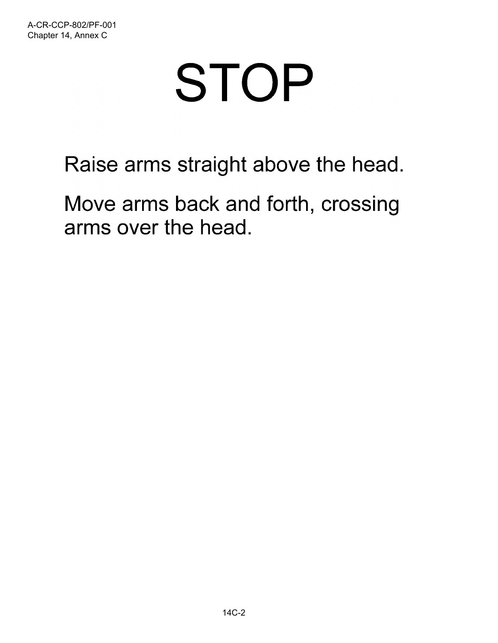## STOP

Raise arms straight above the head.

Move arms back and forth, crossing arms over the head.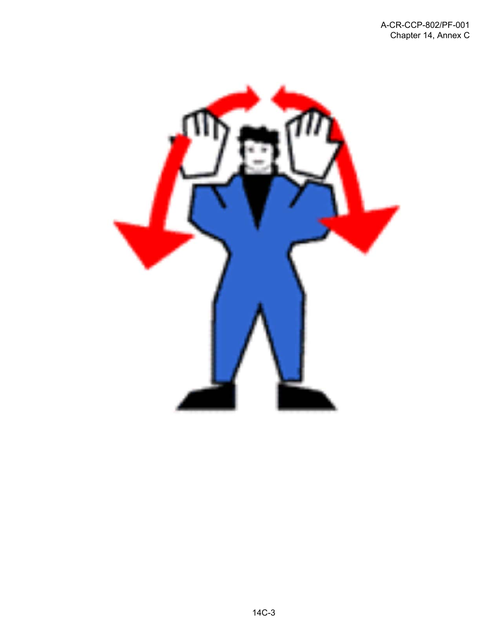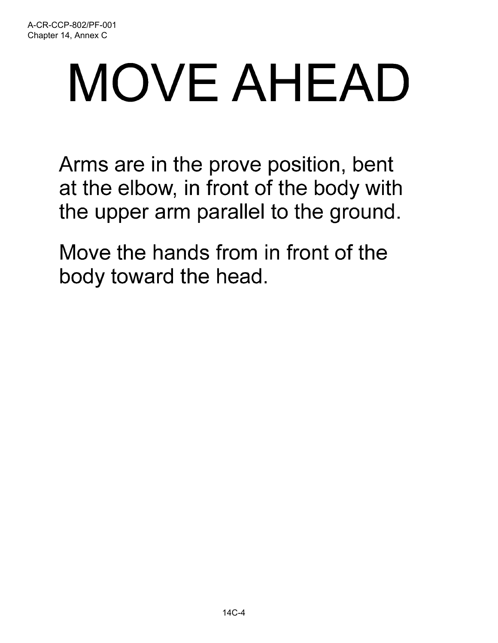# **MOVE AHEAD**

Arms are in the prove position, bent at the elbow, in front of the body with the upper arm parallel to the ground.

Move the hands from in front of the body toward the head.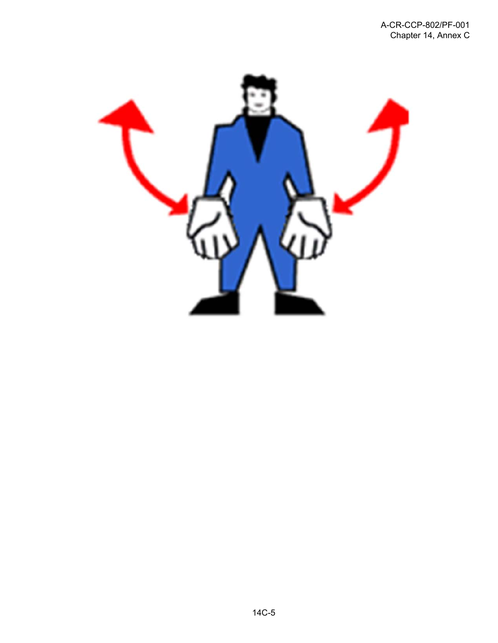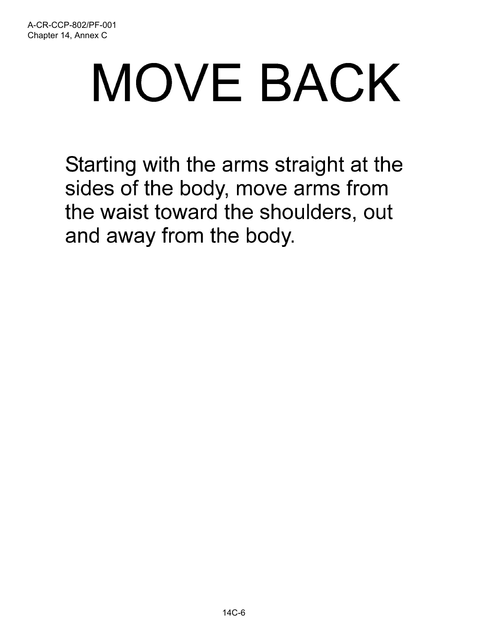# MOVE BACK

Starting with the arms straight at the sides of the body, move arms from the waist toward the shoulders, out and away from the body.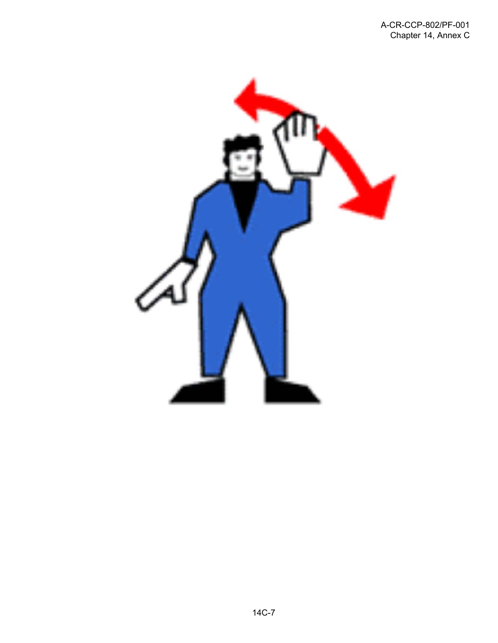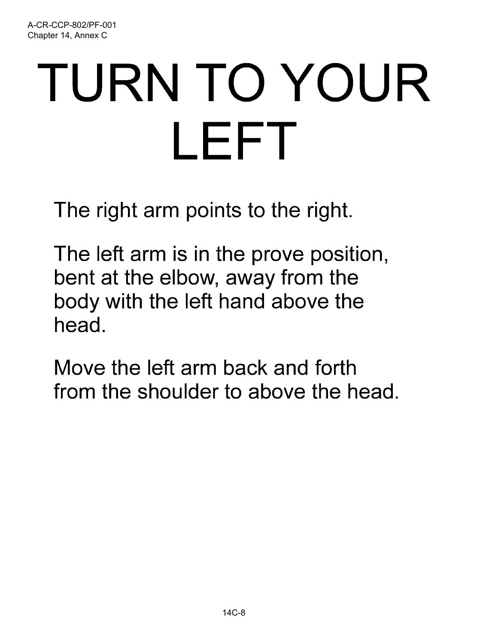# TURN TO YOUR LEFT

The right arm points to the right.

The left arm is in the prove position, bent at the elbow, away from the body with the left hand above the head.

Move the left arm back and forth from the shoulder to above the head.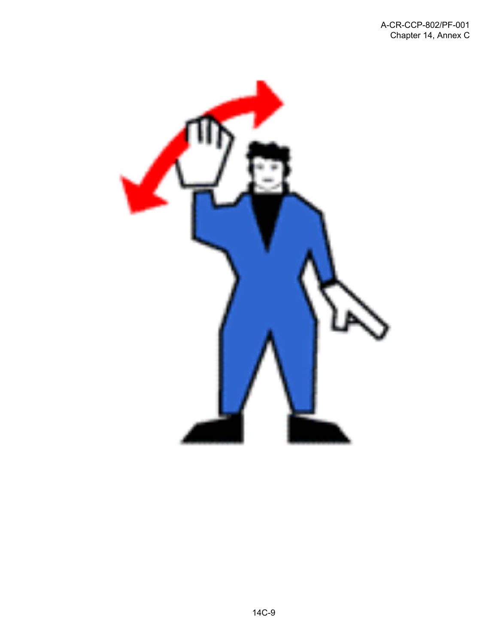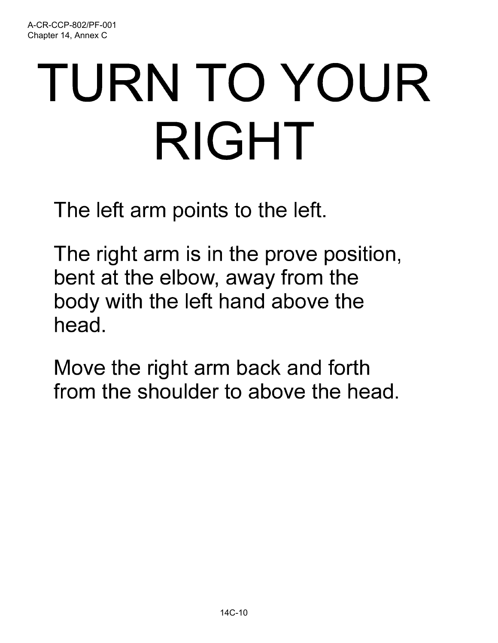# TURN TO YOUR RIGHT

The left arm points to the left.

The right arm is in the prove position, bent at the elbow, away from the body with the left hand above the head.

Move the right arm back and forth from the shoulder to above the head.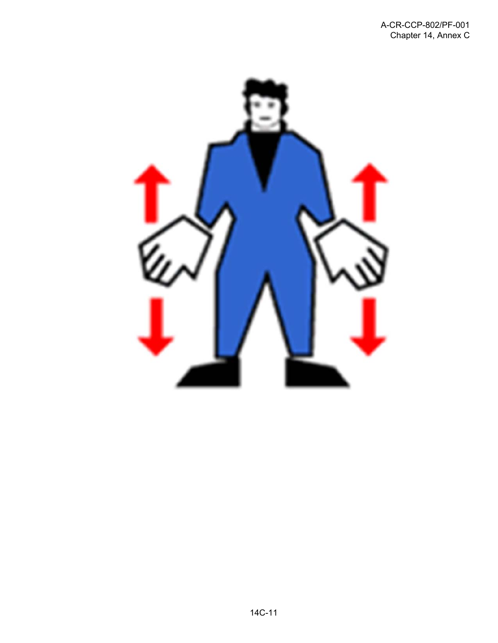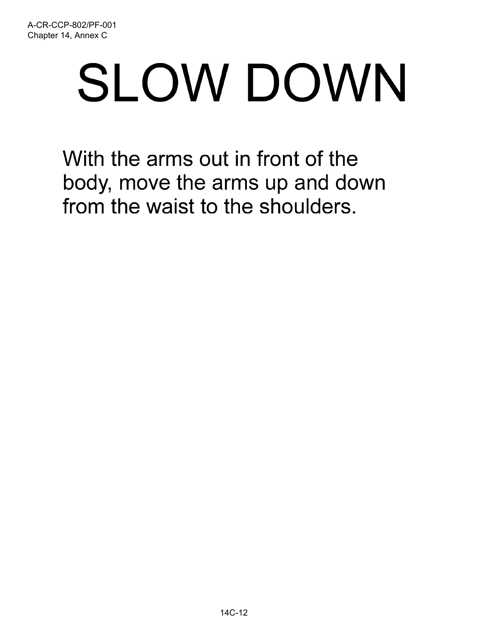# **SLOW DOWN**

With the arms out in front of the body, move the arms up and down from the waist to the shoulders.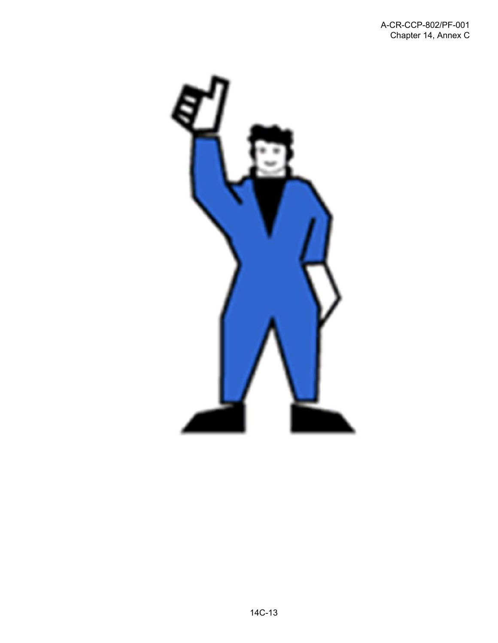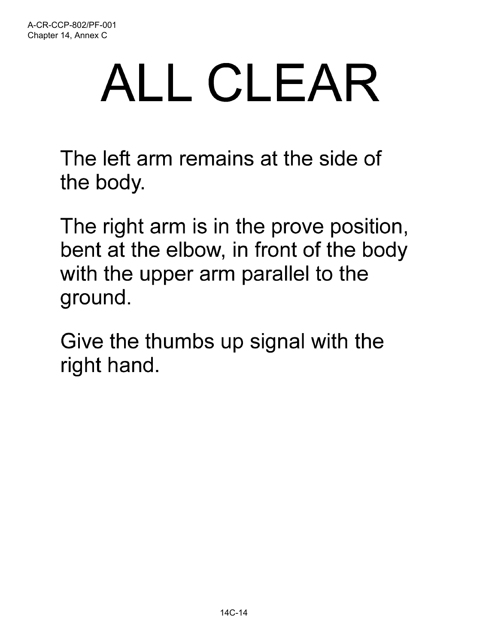# ALL CLEAR

The left arm remains at the side of the body.

The right arm is in the prove position, bent at the elbow, in front of the body with the upper arm parallel to the ground.

Give the thumbs up signal with the right hand.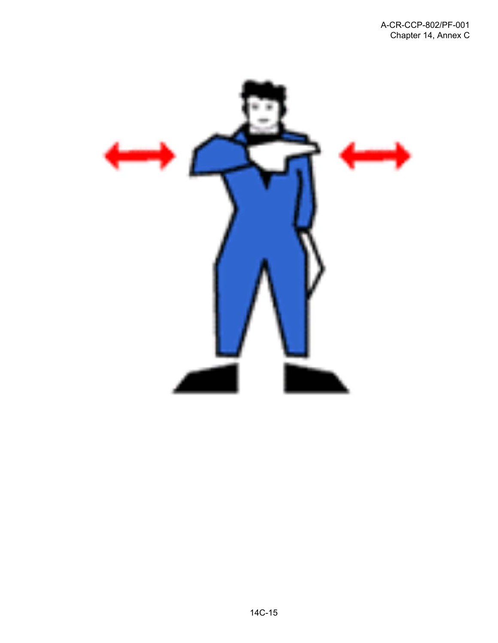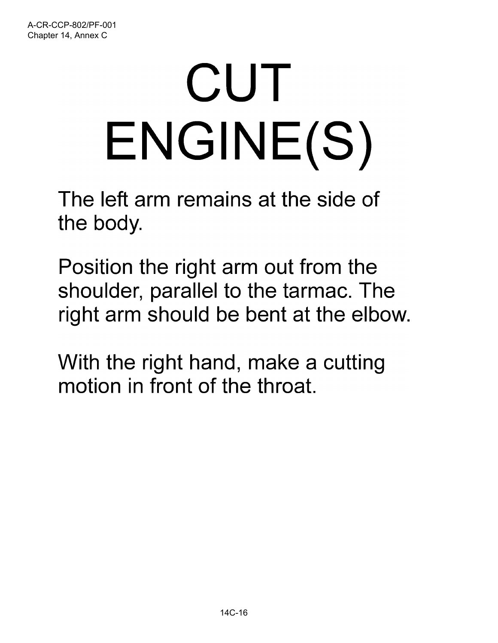# CUT ENGINE(S)

The left arm remains at the side of the body.

Position the right arm out from the shoulder, parallel to the tarmac. The right arm should be bent at the elbow.

With the right hand, make a cutting motion in front of the throat.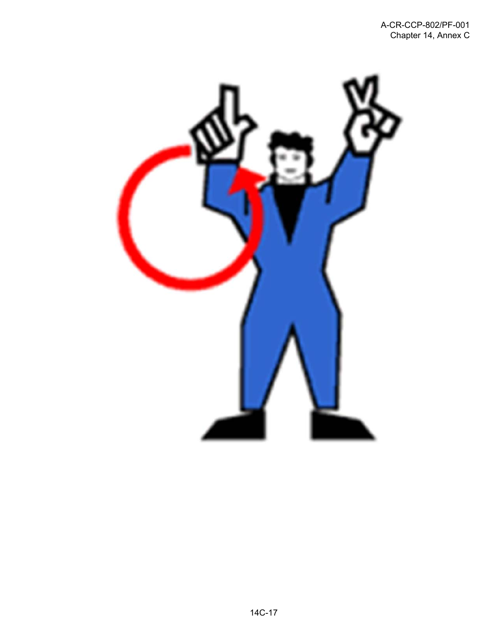